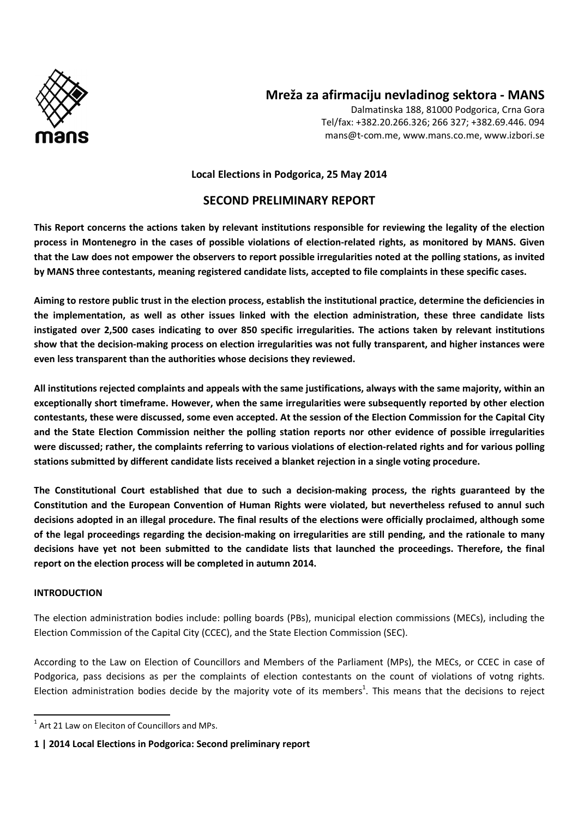

# **Mreža za afirmaciju nevladinog sektora - MANS**

Dalmatinska 188, 81000 Podgorica, Crna Gora Tel/fax: +382.20.266.326; 266 327; +382.69.446. 094 mans@t-com.me, www.mans.co.me, www.izbori.se

#### **Local Elections in Podgorica, 25 May 2014**

## **SECOND PRELIMINARY REPORT**

**This Report concerns the actions taken by relevant institutions responsible for reviewing the legality of the election process in Montenegro in the cases of possible violations of election-related rights, as monitored by MANS. Given that the Law does not empower the observers to report possible irregularities noted at the polling stations, as invited by MANS three contestants, meaning registered candidate lists, accepted to file complaints in these specific cases.** 

**Aiming to restore public trust in the election process, establish the institutional practice, determine the deficiencies in the implementation, as well as other issues linked with the election administration, these three candidate lists instigated over 2,500 cases indicating to over 850 specific irregularities. The actions taken by relevant institutions show that the decision-making process on election irregularities was not fully transparent, and higher instances were even less transparent than the authorities whose decisions they reviewed.** 

**All institutions rejected complaints and appeals with the same justifications, always with the same majority, within an exceptionally short timeframe. However, when the same irregularities were subsequently reported by other election contestants, these were discussed, some even accepted. At the session of the Election Commission for the Capital City and the State Election Commission neither the polling station reports nor other evidence of possible irregularities were discussed; rather, the complaints referring to various violations of election-related rights and for various polling stations submitted by different candidate lists received a blanket rejection in a single voting procedure.** 

**The Constitutional Court established that due to such a decision-making process, the rights guaranteed by the Constitution and the European Convention of Human Rights were violated, but nevertheless refused to annul such decisions adopted in an illegal procedure. The final results of the elections were officially proclaimed, although some of the legal proceedings regarding the decision-making on irregularities are still pending, and the rationale to many decisions have yet not been submitted to the candidate lists that launched the proceedings. Therefore, the final report on the election process will be completed in autumn 2014.** 

#### **INTRODUCTION**

 $\overline{\phantom{0}}$ 

The election administration bodies include: polling boards (PBs), municipal election commissions (MECs), including the Election Commission of the Capital City (CCEC), and the State Election Commission (SEC).

According to the Law on Election of Councillors and Members of the Parliament (MPs), the MECs, or CCEC in case of Podgorica, pass decisions as per the complaints of election contestants on the count of violations of votng rights. Election administration bodies decide by the majority vote of its members<sup>1</sup>. This means that the decisions to reject

 $1$  Art 21 Law on Eleciton of Councillors and MPs.

**<sup>1 | 2014</sup> Local Elections in Podgorica: Second preliminary report**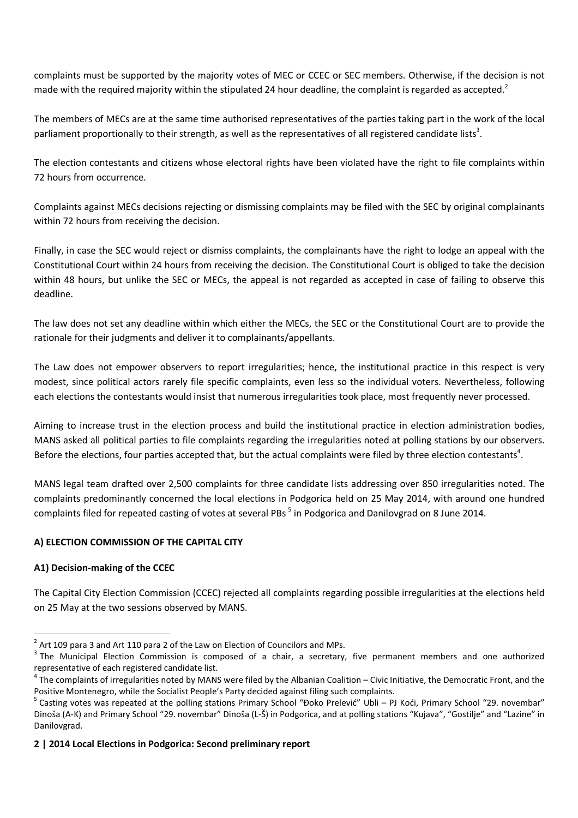complaints must be supported by the majority votes of MEC or CCEC or SEC members. Otherwise, if the decision is not made with the required majority within the stipulated 24 hour deadline, the complaint is regarded as accepted.<sup>2</sup>

The members of MECs are at the same time authorised representatives of the parties taking part in the work of the local parliament proportionally to their strength, as well as the representatives of all registered candidate lists<sup>3</sup>.

The election contestants and citizens whose electoral rights have been violated have the right to file complaints within 72 hours from occurrence.

Complaints against MECs decisions rejecting or dismissing complaints may be filed with the SEC by original complainants within 72 hours from receiving the decision.

Finally, in case the SEC would reject or dismiss complaints, the complainants have the right to lodge an appeal with the Constitutional Court within 24 hours from receiving the decision. The Constitutional Court is obliged to take the decision within 48 hours, but unlike the SEC or MECs, the appeal is not regarded as accepted in case of failing to observe this deadline.

The law does not set any deadline within which either the MECs, the SEC or the Constitutional Court are to provide the rationale for their judgments and deliver it to complainants/appellants.

The Law does not empower observers to report irregularities; hence, the institutional practice in this respect is very modest, since political actors rarely file specific complaints, even less so the individual voters. Nevertheless, following each elections the contestants would insist that numerous irregularities took place, most frequently never processed.

Aiming to increase trust in the election process and build the institutional practice in election administration bodies, MANS asked all political parties to file complaints regarding the irregularities noted at polling stations by our observers. Before the elections, four parties accepted that, but the actual complaints were filed by three election contestants<sup>4</sup>.

MANS legal team drafted over 2,500 complaints for three candidate lists addressing over 850 irregularities noted. The complaints predominantly concerned the local elections in Podgorica held on 25 May 2014, with around one hundred complaints filed for repeated casting of votes at several PBs<sup>5</sup> in Podgorica and Danilovgrad on 8 June 2014.

# **A) ELECTION COMMISSION OF THE CAPITAL CITY**

# **A1) Decision-making of the CCEC**

 $\overline{\phantom{0}}$ 

The Capital City Election Commission (CCEC) rejected all complaints regarding possible irregularities at the elections held on 25 May at the two sessions observed by MANS.

## **2 | 2014 Local Elections in Podgorica: Second preliminary report**

 $^2$  Art 109 para 3 and Art 110 para 2 of the Law on Election of Councilors and MPs.

 $3$  The Municipal Election Commission is composed of a chair, a secretary, five permanent members and one authorized representative of each registered candidate list.

 $4\degree$ The complaints of irregularities noted by MANS were filed by the Albanian Coalition – Civic Initiative, the Democratic Front, and the Positive Montenegro, while the Socialist People's Party decided against filing such complaints.

<sup>&</sup>lt;sup>5</sup> Casting votes was repeated at the polling stations Primary School "Đoko Prelević" Ubli – PJ Koći, Primary School "29. novembar" Dinoša (A-K) and Primary School "29. novembar" Dinoša (L-Š) in Podgorica, and at polling stations "Kujava", "Gostilje" and "Lazine" in Danilovgrad.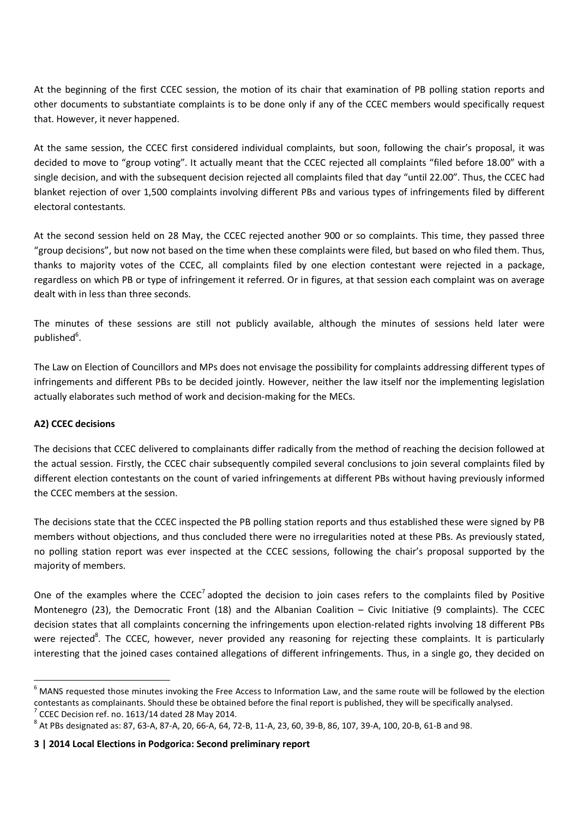At the beginning of the first CCEC session, the motion of its chair that examination of PB polling station reports and other documents to substantiate complaints is to be done only if any of the CCEC members would specifically request that. However, it never happened.

At the same session, the CCEC first considered individual complaints, but soon, following the chair's proposal, it was decided to move to "group voting". It actually meant that the CCEC rejected all complaints "filed before 18.00" with a single decision, and with the subsequent decision rejected all complaints filed that day "until 22.00". Thus, the CCEC had blanket rejection of over 1,500 complaints involving different PBs and various types of infringements filed by different electoral contestants.

At the second session held on 28 May, the CCEC rejected another 900 or so complaints. This time, they passed three "group decisions", but now not based on the time when these complaints were filed, but based on who filed them. Thus, thanks to majority votes of the CCEC, all complaints filed by one election contestant were rejected in a package, regardless on which PB or type of infringement it referred. Or in figures, at that session each complaint was on average dealt with in less than three seconds.

The minutes of these sessions are still not publicly available, although the minutes of sessions held later were published<sup>6</sup>.

The Law on Election of Councillors and MPs does not envisage the possibility for complaints addressing different types of infringements and different PBs to be decided jointly. However, neither the law itself nor the implementing legislation actually elaborates such method of work and decision-making for the MECs.

## **A2) CCEC decisions**

 $\overline{\phantom{0}}$ 

The decisions that CCEC delivered to complainants differ radically from the method of reaching the decision followed at the actual session. Firstly, the CCEC chair subsequently compiled several conclusions to join several complaints filed by different election contestants on the count of varied infringements at different PBs without having previously informed the CCEC members at the session.

The decisions state that the CCEC inspected the PB polling station reports and thus established these were signed by PB members without objections, and thus concluded there were no irregularities noted at these PBs. As previously stated, no polling station report was ever inspected at the CCEC sessions, following the chair's proposal supported by the majority of members.

One of the examples where the  $CCEC<sup>7</sup>$  adopted the decision to join cases refers to the complaints filed by Positive Montenegro (23), the Democratic Front (18) and the Albanian Coalition – Civic Initiative (9 complaints). The CCEC decision states that all complaints concerning the infringements upon election-related rights involving 18 different PBs were rejected<sup>8</sup>. The CCEC, however, never provided any reasoning for rejecting these complaints. It is particularly interesting that the joined cases contained allegations of different infringements. Thus, in a single go, they decided on

 $^6$  MANS requested those minutes invoking the Free Access to Information Law, and the same route will be followed by the election contestants as complainants. Should these be obtained before the final report is published, they will be specifically analysed.  $7$  CCEC Decision ref. no. 1613/14 dated 28 May 2014.

<sup>&</sup>lt;sup>8</sup> At PBs designated as: 87, 63-A, 87-A, 20, 66-A, 64, 72-B, 11-A, 23, 60, 39-B, 86, 107, 39-A, 100, 20-B, 61-B and 98.

**<sup>3 | 2014</sup> Local Elections in Podgorica: Second preliminary report**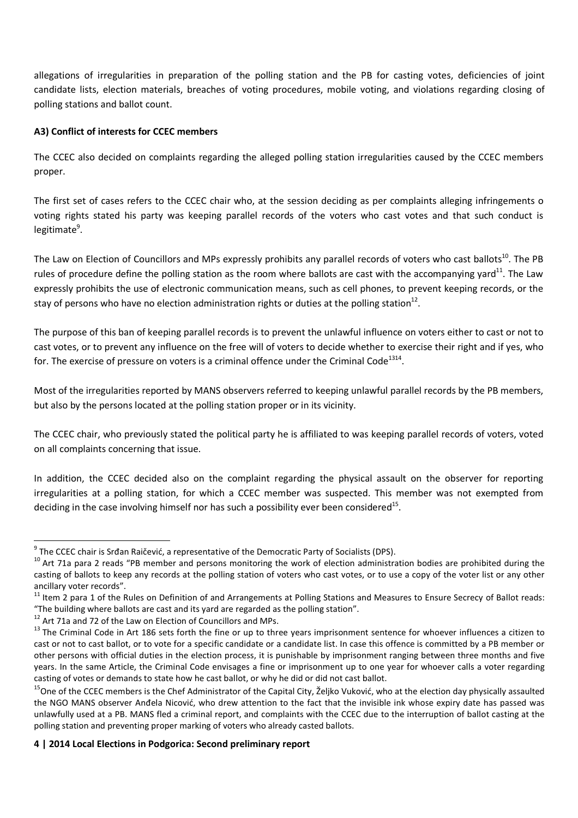allegations of irregularities in preparation of the polling station and the PB for casting votes, deficiencies of joint candidate lists, election materials, breaches of voting procedures, mobile voting, and violations regarding closing of polling stations and ballot count.

## **A3) Conflict of interests for CCEC members**

The CCEC also decided on complaints regarding the alleged polling station irregularities caused by the CCEC members proper.

The first set of cases refers to the CCEC chair who, at the session deciding as per complaints alleging infringements o voting rights stated his party was keeping parallel records of the voters who cast votes and that such conduct is legitimate<sup>9</sup>.

The Law on Election of Councillors and MPs expressly prohibits any parallel records of voters who cast ballots<sup>10</sup>. The PB rules of procedure define the polling station as the room where ballots are cast with the accompanying yard<sup>11</sup>. The Law expressly prohibits the use of electronic communication means, such as cell phones, to prevent keeping records, or the stay of persons who have no election administration rights or duties at the polling station<sup>12</sup>.

The purpose of this ban of keeping parallel records is to prevent the unlawful influence on voters either to cast or not to cast votes, or to prevent any influence on the free will of voters to decide whether to exercise their right and if yes, who for. The exercise of pressure on voters is a criminal offence under the Criminal Code<sup>1314</sup>.

Most of the irregularities reported by MANS observers referred to keeping unlawful parallel records by the PB members, but also by the persons located at the polling station proper or in its vicinity.

The CCEC chair, who previously stated the political party he is affiliated to was keeping parallel records of voters, voted on all complaints concerning that issue.

In addition, the CCEC decided also on the complaint regarding the physical assault on the observer for reporting irregularities at a polling station, for which a CCEC member was suspected. This member was not exempted from deciding in the case involving himself nor has such a possibility ever been considered<sup>15</sup>.

l

<sup>&</sup>lt;sup>9</sup> The CCEC chair is Srđan Raičević, a representative of the Democratic Party of Socialists (DPS).

 $10$  Art 71a para 2 reads "PB member and persons monitoring the work of election administration bodies are prohibited during the casting of ballots to keep any records at the polling station of voters who cast votes, or to use a copy of the voter list or any other ancillary voter records".

<sup>&</sup>lt;sup>11</sup> Item 2 para 1 of the Rules on Definition of and Arrangements at Polling Stations and Measures to Ensure Secrecy of Ballot reads: "The building where ballots are cast and its yard are regarded as the polling station".

 $12$  Art 71a and 72 of the Law on Election of Councillors and MPs.

<sup>&</sup>lt;sup>13</sup> The Criminal Code in Art 186 sets forth the fine or up to three years imprisonment sentence for whoever influences a citizen to cast or not to cast ballot, or to vote for a specific candidate or a candidate list. In case this offence is committed by a PB member or other persons with official duties in the election process, it is punishable by imprisonment ranging between three months and five years. In the same Article, the Criminal Code envisages a fine or imprisonment up to one year for whoever calls a voter regarding casting of votes or demands to state how he cast ballot, or why he did or did not cast ballot.

<sup>&</sup>lt;sup>15</sup>One of the CCEC members is the Chef Administrator of the Capital City, Željko Vuković, who at the election day physically assaulted the NGO MANS observer Anđela Nicović, who drew attention to the fact that the invisible ink whose expiry date has passed was unlawfully used at a PB. MANS fled a criminal report, and complaints with the CCEC due to the interruption of ballot casting at the polling station and preventing proper marking of voters who already casted ballots.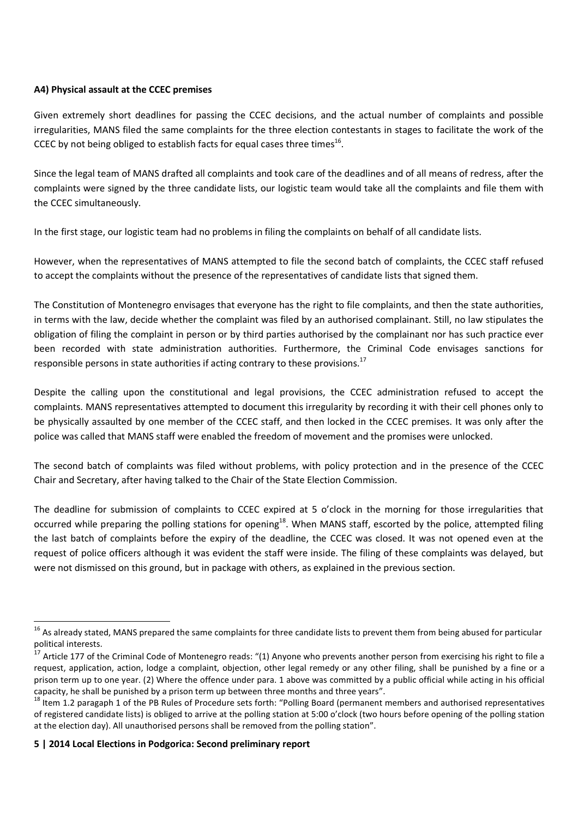#### **A4) Physical assault at the CCEC premises**

Given extremely short deadlines for passing the CCEC decisions, and the actual number of complaints and possible irregularities, MANS filed the same complaints for the three election contestants in stages to facilitate the work of the CCEC by not being obliged to establish facts for equal cases three times<sup>16</sup>.

Since the legal team of MANS drafted all complaints and took care of the deadlines and of all means of redress, after the complaints were signed by the three candidate lists, our logistic team would take all the complaints and file them with the CCEC simultaneously.

In the first stage, our logistic team had no problems in filing the complaints on behalf of all candidate lists.

However, when the representatives of MANS attempted to file the second batch of complaints, the CCEC staff refused to accept the complaints without the presence of the representatives of candidate lists that signed them.

The Constitution of Montenegro envisages that everyone has the right to file complaints, and then the state authorities, in terms with the law, decide whether the complaint was filed by an authorised complainant. Still, no law stipulates the obligation of filing the complaint in person or by third parties authorised by the complainant nor has such practice ever been recorded with state administration authorities. Furthermore, the Criminal Code envisages sanctions for responsible persons in state authorities if acting contrary to these provisions.<sup>17</sup>

Despite the calling upon the constitutional and legal provisions, the CCEC administration refused to accept the complaints. MANS representatives attempted to document this irregularity by recording it with their cell phones only to be physically assaulted by one member of the CCEC staff, and then locked in the CCEC premises. It was only after the police was called that MANS staff were enabled the freedom of movement and the promises were unlocked.

The second batch of complaints was filed without problems, with policy protection and in the presence of the CCEC Chair and Secretary, after having talked to the Chair of the State Election Commission.

The deadline for submission of complaints to CCEC expired at 5 o'clock in the morning for those irregularities that occurred while preparing the polling stations for opening<sup>18</sup>. When MANS staff, escorted by the police, attempted filing the last batch of complaints before the expiry of the deadline, the CCEC was closed. It was not opened even at the request of police officers although it was evident the staff were inside. The filing of these complaints was delayed, but were not dismissed on this ground, but in package with others, as explained in the previous section.

 $\overline{\phantom{0}}$ 

<sup>&</sup>lt;sup>16</sup> As already stated, MANS prepared the same complaints for three candidate lists to prevent them from being abused for particular political interests.

 $17$  Article 177 of the Criminal Code of Montenegro reads: "(1) Anvone who prevents another person from exercising his right to file a request, application, action, lodge a complaint, objection, other legal remedy or any other filing, shall be punished by a fine or a prison term up to one year. (2) Where the offence under para. 1 above was committed by a public official while acting in his official capacity, he shall be punished by a prison term up between three months and three years".

<sup>&</sup>lt;sup>18</sup> Item 1.2 paragaph 1 of the PB Rules of Procedure sets forth: "Polling Board (permanent members and authorised representatives of registered candidate lists) is obliged to arrive at the polling station at 5:00 o'clock (two hours before opening of the polling station at the election day). All unauthorised persons shall be removed from the polling station".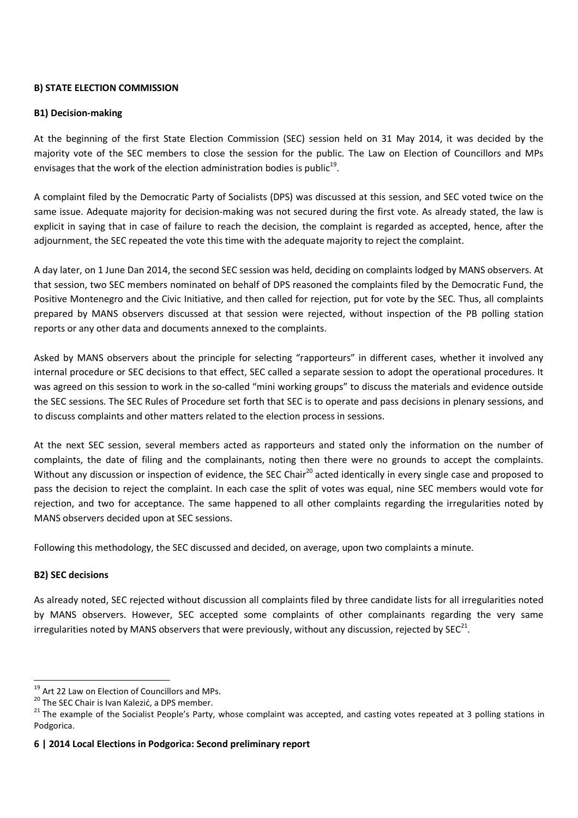#### **B) STATE ELECTION COMMISSION**

#### **B1) Decision-making**

At the beginning of the first State Election Commission (SEC) session held on 31 May 2014, it was decided by the majority vote of the SEC members to close the session for the public. The Law on Election of Councillors and MPs envisages that the work of the election administration bodies is public<sup>19</sup>.

A complaint filed by the Democratic Party of Socialists (DPS) was discussed at this session, and SEC voted twice on the same issue. Adequate majority for decision-making was not secured during the first vote. As already stated, the law is explicit in saying that in case of failure to reach the decision, the complaint is regarded as accepted, hence, after the adjournment, the SEC repeated the vote this time with the adequate majority to reject the complaint.

A day later, on 1 June Dan 2014, the second SEC session was held, deciding on complaints lodged by MANS observers. At that session, two SEC members nominated on behalf of DPS reasoned the complaints filed by the Democratic Fund, the Positive Montenegro and the Civic Initiative, and then called for rejection, put for vote by the SEC. Thus, all complaints prepared by MANS observers discussed at that session were rejected, without inspection of the PB polling station reports or any other data and documents annexed to the complaints.

Asked by MANS observers about the principle for selecting "rapporteurs" in different cases, whether it involved any internal procedure or SEC decisions to that effect, SEC called a separate session to adopt the operational procedures. It was agreed on this session to work in the so-called "mini working groups" to discuss the materials and evidence outside the SEC sessions. The SEC Rules of Procedure set forth that SEC is to operate and pass decisions in plenary sessions, and to discuss complaints and other matters related to the election process in sessions.

At the next SEC session, several members acted as rapporteurs and stated only the information on the number of complaints, the date of filing and the complainants, noting then there were no grounds to accept the complaints. Without any discussion or inspection of evidence, the SEC Chair<sup>20</sup> acted identically in every single case and proposed to pass the decision to reject the complaint. In each case the split of votes was equal, nine SEC members would vote for rejection, and two for acceptance. The same happened to all other complaints regarding the irregularities noted by MANS observers decided upon at SEC sessions.

Following this methodology, the SEC discussed and decided, on average, upon two complaints a minute.

## **B2) SEC decisions**

 $\overline{\phantom{0}}$ 

As already noted, SEC rejected without discussion all complaints filed by three candidate lists for all irregularities noted by MANS observers. However, SEC accepted some complaints of other complainants regarding the very same irregularities noted by MANS observers that were previously, without any discussion, rejected by SEC<sup>21</sup>.

<sup>&</sup>lt;sup>19</sup> Art 22 Law on Election of Councillors and MPs.

<sup>&</sup>lt;sup>20</sup> The SEC Chair is Ivan Kalezić, a DPS member.

<sup>&</sup>lt;sup>21</sup> The example of the Socialist People's Party, whose complaint was accepted, and casting votes repeated at 3 polling stations in Podgorica.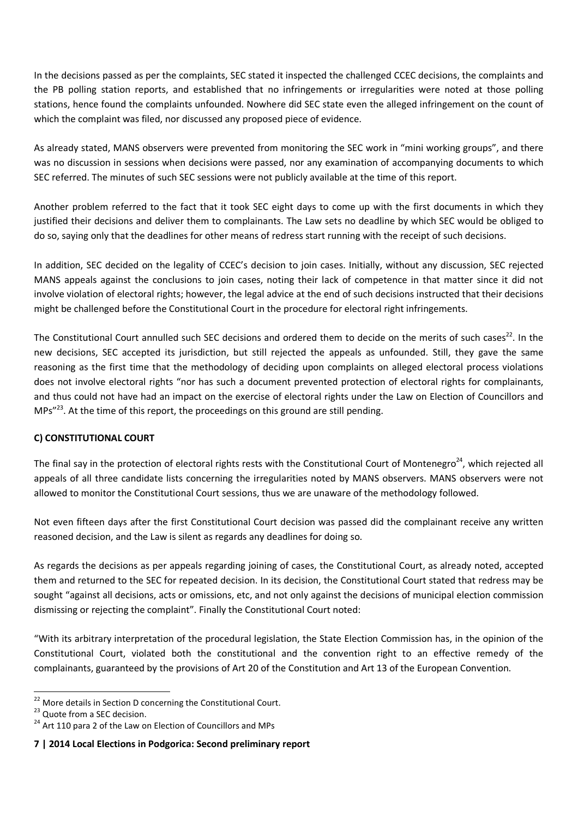In the decisions passed as per the complaints, SEC stated it inspected the challenged CCEC decisions, the complaints and the PB polling station reports, and established that no infringements or irregularities were noted at those polling stations, hence found the complaints unfounded. Nowhere did SEC state even the alleged infringement on the count of which the complaint was filed, nor discussed any proposed piece of evidence.

As already stated, MANS observers were prevented from monitoring the SEC work in "mini working groups", and there was no discussion in sessions when decisions were passed, nor any examination of accompanying documents to which SEC referred. The minutes of such SEC sessions were not publicly available at the time of this report.

Another problem referred to the fact that it took SEC eight days to come up with the first documents in which they justified their decisions and deliver them to complainants. The Law sets no deadline by which SEC would be obliged to do so, saying only that the deadlines for other means of redress start running with the receipt of such decisions.

In addition, SEC decided on the legality of CCEC's decision to join cases. Initially, without any discussion, SEC rejected MANS appeals against the conclusions to join cases, noting their lack of competence in that matter since it did not involve violation of electoral rights; however, the legal advice at the end of such decisions instructed that their decisions might be challenged before the Constitutional Court in the procedure for electoral right infringements.

The Constitutional Court annulled such SEC decisions and ordered them to decide on the merits of such cases $^{22}$ . In the new decisions, SEC accepted its jurisdiction, but still rejected the appeals as unfounded. Still, they gave the same reasoning as the first time that the methodology of deciding upon complaints on alleged electoral process violations does not involve electoral rights "nor has such a document prevented protection of electoral rights for complainants, and thus could not have had an impact on the exercise of electoral rights under the Law on Election of Councillors and MPs"<sup>23</sup>. At the time of this report, the proceedings on this ground are still pending.

## **C) CONSTITUTIONAL COURT**

The final say in the protection of electoral rights rests with the Constitutional Court of Montenegro<sup>24</sup>, which rejected all appeals of all three candidate lists concerning the irregularities noted by MANS observers. MANS observers were not allowed to monitor the Constitutional Court sessions, thus we are unaware of the methodology followed.

Not even fifteen days after the first Constitutional Court decision was passed did the complainant receive any written reasoned decision, and the Law is silent as regards any deadlines for doing so.

As regards the decisions as per appeals regarding joining of cases, the Constitutional Court, as already noted, accepted them and returned to the SEC for repeated decision. In its decision, the Constitutional Court stated that redress may be sought "against all decisions, acts or omissions, etc, and not only against the decisions of municipal election commission dismissing or rejecting the complaint". Finally the Constitutional Court noted:

"With its arbitrary interpretation of the procedural legislation, the State Election Commission has, in the opinion of the Constitutional Court, violated both the constitutional and the convention right to an effective remedy of the complainants, guaranteed by the provisions of Art 20 of the Constitution and Art 13 of the European Convention.

l

**7 | 2014 Local Elections in Podgorica: Second preliminary report**

 $22$  More details in Section D concerning the Constitutional Court.

<sup>&</sup>lt;sup>23</sup> Quote from a SEC decision.

<sup>&</sup>lt;sup>24</sup> Art 110 para 2 of the Law on Election of Councillors and MPs